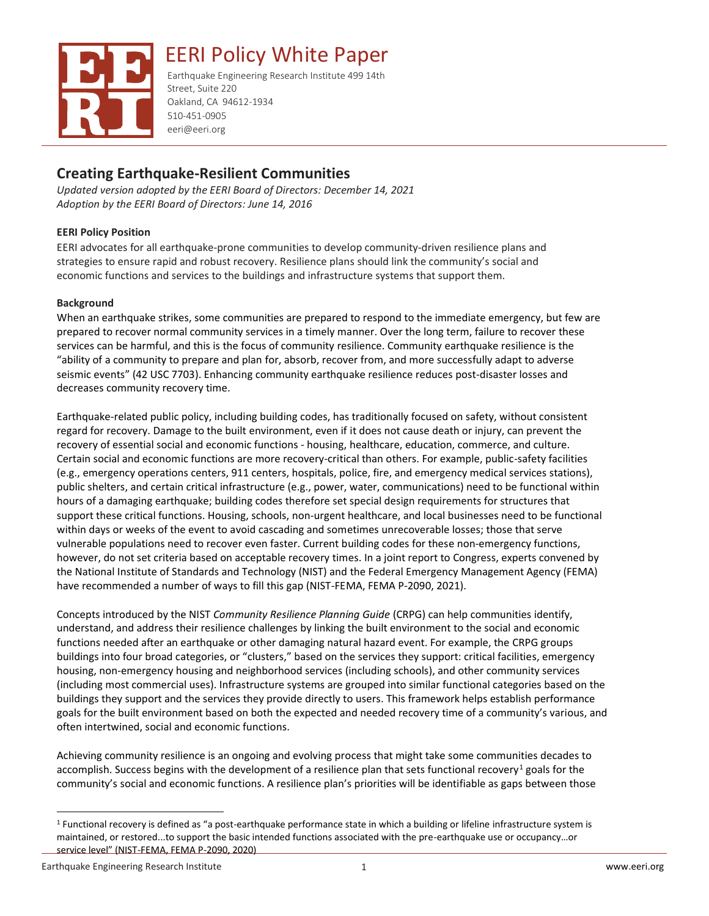

EERI Policy White Paper

Earthquake Engineering Research Institute 499 14th Street, Suite 220 Oakland, CA 94612-1934 510-451-0905 eeri@eeri.org

# **Creating Earthquake-Resilient Communities**

*Updated version adopted by the EERI Board of Directors: December 14, 2021 Adoption by the EERI Board of Directors: June 14, 2016*

## **EERI Policy Position**

EERI advocates for all earthquake-prone communities to develop community-driven resilience plans and strategies to ensure rapid and robust recovery. Resilience plans should link the community's social and economic functions and services to the buildings and infrastructure systems that support them.

## **Background**

When an earthquake strikes, some communities are prepared to respond to the immediate emergency, but few are prepared to recover normal community services in a timely manner. Over the long term, failure to recover these services can be harmful, and this is the focus of community resilience. Community earthquake resilience is the "ability of a community to prepare and plan for, absorb, recover from, and more successfully adapt to adverse seismic events" (42 USC 7703). Enhancing community earthquake resilience reduces post-disaster losses and decreases community recovery time.

Earthquake-related public policy, including building codes, has traditionally focused on safety, without consistent regard for recovery. Damage to the built environment, even if it does not cause death or injury, can prevent the recovery of essential social and economic functions - housing, healthcare, education, commerce, and culture. Certain social and economic functions are more recovery-critical than others. For example, public-safety facilities (e.g., emergency operations centers, 911 centers, hospitals, police, fire, and emergency medical services stations), public shelters, and certain critical infrastructure (e.g., power, water, communications) need to be functional within hours of a damaging earthquake; building codes therefore set special design requirements for structures that support these critical functions. Housing, schools, non-urgent healthcare, and local businesses need to be functional within days or weeks of the event to avoid cascading and sometimes unrecoverable losses; those that serve vulnerable populations need to recover even faster. Current building codes for these non-emergency functions, however, do not set criteria based on acceptable recovery times. In a joint report to Congress, experts convened by the National Institute of Standards and Technology (NIST) and the Federal Emergency Management Agency (FEMA) have recommended a number of ways to fill this gap (NIST-FEMA, FEMA P-2090, 2021).

Concepts introduced by the NIST *Community Resilience Planning Guide* (CRPG) can help communities identify, understand, and address their resilience challenges by linking the built environment to the social and economic functions needed after an earthquake or other damaging natural hazard event. For example, the CRPG groups buildings into four broad categories, or "clusters," based on the services they support: critical facilities, emergency housing, non-emergency housing and neighborhood services (including schools), and other community services (including most commercial uses). Infrastructure systems are grouped into similar functional categories based on the buildings they support and the services they provide directly to users. This framework helps establish performance goals for the built environment based on both the expected and needed recovery time of a community's various, and often intertwined, social and economic functions.

Achieving community resilience is an ongoing and evolving process that might take some communities decades to accomplish. Success begins with the development of a resilience plan that sets functional recovery<sup>1</sup> goals for the community's social and economic functions. A resilience plan's priorities will be identifiable as gaps between those

 $1$  Functional recovery is defined as "a post-earthquake performance state in which a building or lifeline infrastructure system is maintained, or restored...to support the basic intended functions associated with the pre-earthquake use or occupancy…or service level" (NIST-FEMA, FEMA P-2090, 2020)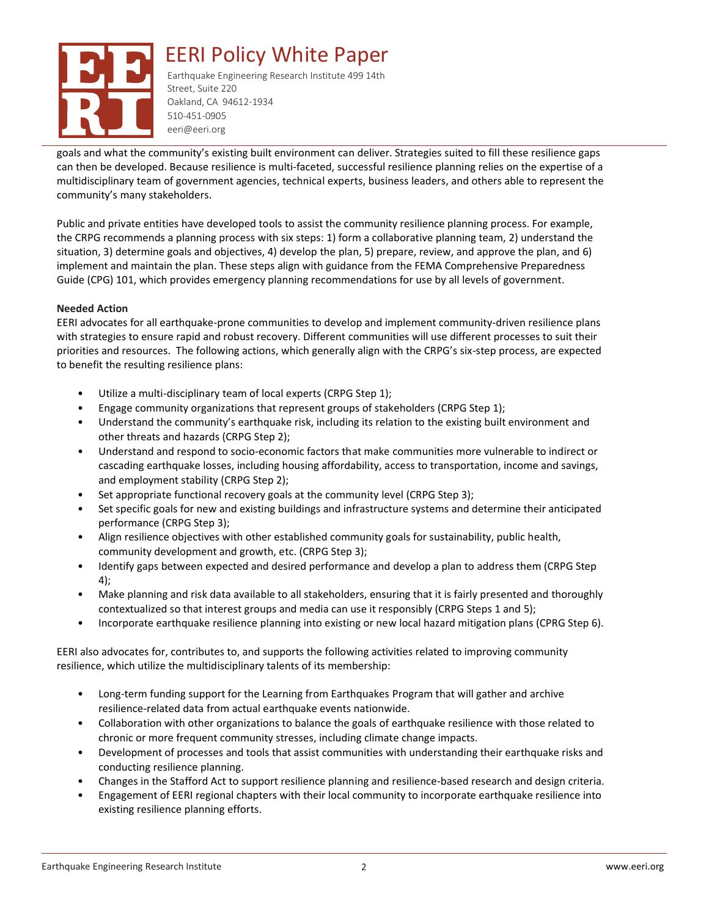

goals and what the community's existing built environment can deliver. Strategies suited to fill these resilience gaps can then be developed. Because resilience is multi-faceted, successful resilience planning relies on the expertise of a multidisciplinary team of government agencies, technical experts, business leaders, and others able to represent the community's many stakeholders.

Public and private entities have developed tools to assist the community resilience planning process. For example, the CRPG recommends a planning process with six steps: 1) form a collaborative planning team, 2) understand the situation, 3) determine goals and objectives, 4) develop the plan, 5) prepare, review, and approve the plan, and 6) implement and maintain the plan. These steps align with guidance from the FEMA Comprehensive Preparedness Guide (CPG) 101, which provides emergency planning recommendations for use by all levels of government.

#### **Needed Action**

EERI advocates for all earthquake-prone communities to develop and implement community-driven resilience plans with strategies to ensure rapid and robust recovery. Different communities will use different processes to suit their priorities and resources. The following actions, which generally align with the CRPG's six-step process, are expected to benefit the resulting resilience plans:

- Utilize a multi-disciplinary team of local experts (CRPG Step 1);
- Engage community organizations that represent groups of stakeholders (CRPG Step 1);
- Understand the community's earthquake risk, including its relation to the existing built environment and other threats and hazards (CRPG Step 2);
- Understand and respond to socio-economic factors that make communities more vulnerable to indirect or cascading earthquake losses, including housing affordability, access to transportation, income and savings, and employment stability (CRPG Step 2);
- Set appropriate functional recovery goals at the community level (CRPG Step 3);
- Set specific goals for new and existing buildings and infrastructure systems and determine their anticipated performance (CRPG Step 3);
- Align resilience objectives with other established community goals for sustainability, public health, community development and growth, etc. (CRPG Step 3);
- Identify gaps between expected and desired performance and develop a plan to address them (CRPG Step 4);
- Make planning and risk data available to all stakeholders, ensuring that it is fairly presented and thoroughly contextualized so that interest groups and media can use it responsibly (CRPG Steps 1 and 5);
- Incorporate earthquake resilience planning into existing or new local hazard mitigation plans (CPRG Step 6).

EERI also advocates for, contributes to, and supports the following activities related to improving community resilience, which utilize the multidisciplinary talents of its membership:

- Long-term funding support for the Learning from Earthquakes Program that will gather and archive resilience-related data from actual earthquake events nationwide.
- Collaboration with other organizations to balance the goals of earthquake resilience with those related to chronic or more frequent community stresses, including climate change impacts.
- Development of processes and tools that assist communities with understanding their earthquake risks and conducting resilience planning.
- Changes in the Stafford Act to support resilience planning and resilience-based research and design criteria.
- Engagement of EERI regional chapters with their local community to incorporate earthquake resilience into existing resilience planning efforts.